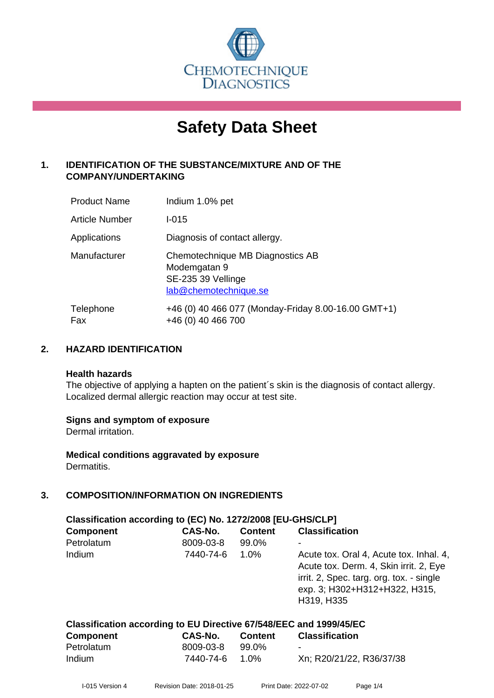

# **Safety Data Sheet**

# **1. IDENTIFICATION OF THE SUBSTANCE/MIXTURE AND OF THE COMPANY/UNDERTAKING**

| <b>Product Name</b>   | Indium 1.0% pet                                                                                 |
|-----------------------|-------------------------------------------------------------------------------------------------|
| <b>Article Number</b> | $1 - 015$                                                                                       |
| Applications          | Diagnosis of contact allergy.                                                                   |
| Manufacturer          | Chemotechnique MB Diagnostics AB<br>Modemgatan 9<br>SE-235 39 Vellinge<br>lab@chemotechnique.se |
| Telephone<br>Fax      | +46 (0) 40 466 077 (Monday-Friday 8.00-16.00 GMT+1)<br>+46 (0) 40 466 700                       |

# **2. HAZARD IDENTIFICATION**

#### **Health hazards**

The objective of applying a hapten on the patient's skin is the diagnosis of contact allergy. Localized dermal allergic reaction may occur at test site.

#### **Signs and symptom of exposure**

Dermal irritation.

**Medical conditions aggravated by exposure** Dermatitis.

# **3. COMPOSITION/INFORMATION ON INGREDIENTS**

| Classification according to (EC) No. 1272/2008 [EU-GHS/CLP] |           |                |                                                                                                                                                                              |  |
|-------------------------------------------------------------|-----------|----------------|------------------------------------------------------------------------------------------------------------------------------------------------------------------------------|--|
| <b>Component</b>                                            | CAS-No.   | <b>Content</b> | <b>Classification</b>                                                                                                                                                        |  |
| Petrolatum                                                  | 8009-03-8 | 99.0%          |                                                                                                                                                                              |  |
| Indium                                                      | 7440-74-6 | $1.0\%$        | Acute tox. Oral 4, Acute tox. Inhal. 4,<br>Acute tox. Derm. 4, Skin irrit. 2, Eye<br>irrit. 2, Spec. targ. org. tox. - single<br>exp. 3; H302+H312+H322, H315,<br>H319, H335 |  |

| <b>Component</b> | CAS-No.   | Content  | <b>Classification</b>    |
|------------------|-----------|----------|--------------------------|
| Petrolatum       | 8009-03-8 | 99.0%    | $\sim$                   |
| Indium           | 7440-74-6 | $-1.0\%$ | Xn; R20/21/22, R36/37/38 |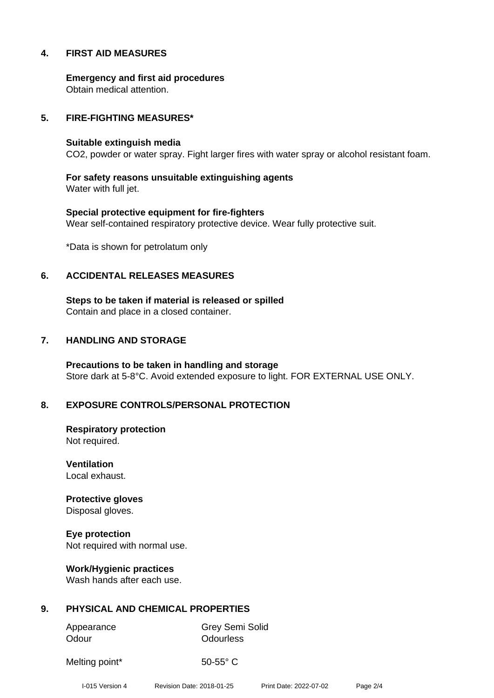#### **4. FIRST AID MEASURES**

**Emergency and first aid procedures** Obtain medical attention.

#### **5. FIRE-FIGHTING MEASURES\***

#### **Suitable extinguish media**

CO2, powder or water spray. Fight larger fires with water spray or alcohol resistant foam.

**For safety reasons unsuitable extinguishing agents** Water with full jet.

**Special protective equipment for fire-fighters** Wear self-contained respiratory protective device. Wear fully protective suit.

\*Data is shown for petrolatum only

#### **6. ACCIDENTAL RELEASES MEASURES**

**Steps to be taken if material is released or spilled** Contain and place in a closed container.

#### **7. HANDLING AND STORAGE**

**Precautions to be taken in handling and storage** Store dark at 5-8°C. Avoid extended exposure to light. FOR EXTERNAL USE ONLY.

#### **8. EXPOSURE CONTROLS/PERSONAL PROTECTION**

**Respiratory protection** Not required.

**Ventilation** Local exhaust.

**Protective gloves** Disposal gloves.

**Eye protection** Not required with normal use.

**Work/Hygienic practices** Wash hands after each use.

#### **9. PHYSICAL AND CHEMICAL PROPERTIES**

Appearance Grey Semi Solid

Odour **Odourless** 

Melting point\* 50-55° C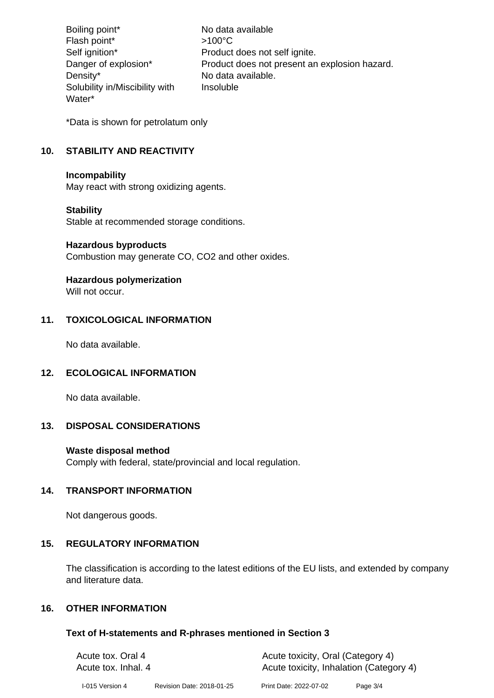Boiling point\* No data available Flash point\*  $>100^{\circ}$ C Self ignition\* Product does not self ignite. Danger of explosion\* Product does not present an explosion hazard. Density\* No data available. Solubility in/Miscibility with Water\* Insoluble

\*Data is shown for petrolatum only

# **10. STABILITY AND REACTIVITY**

#### **Incompability**

May react with strong oxidizing agents.

#### **Stability**

Stable at recommended storage conditions.

#### **Hazardous byproducts**

Combustion may generate CO, CO2 and other oxides.

# **Hazardous polymerization**

Will not occur.

#### **11. TOXICOLOGICAL INFORMATION**

No data available.

#### **12. ECOLOGICAL INFORMATION**

No data available.

#### **13. DISPOSAL CONSIDERATIONS**

#### **Waste disposal method**

Comply with federal, state/provincial and local regulation.

#### **14. TRANSPORT INFORMATION**

Not dangerous goods.

#### **15. REGULATORY INFORMATION**

The classification is according to the latest editions of the EU lists, and extended by company and literature data.

# **16. OTHER INFORMATION**

#### **Text of H-statements and R-phrases mentioned in Section 3**

| Acute tox. Oral 4<br>Acute tox. Inhal. 4 |                           | Acute toxicity, Oral (Category 4)<br>Acute toxicity, Inhalation (Category 4) |          |  |
|------------------------------------------|---------------------------|------------------------------------------------------------------------------|----------|--|
| I-015 Version 4                          | Revision Date: 2018-01-25 | Print Date: 2022-07-02                                                       | Page 3/4 |  |